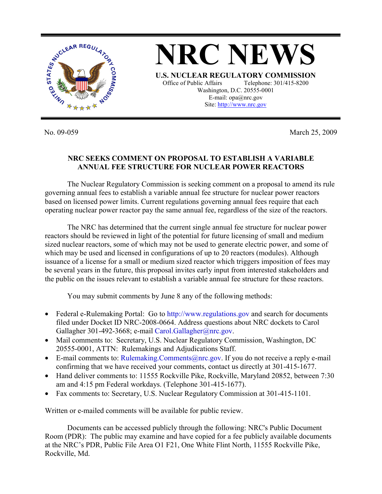

**NRC NEWS U.S. NUCLEAR REGULATORY COMMISSION** Office of Public Affairs Telephone: 301/415-8200 Washington, D.C. 20555-0001 E-mail: opa@nrc.gov Site: http://www.nrc.gov

No. 09-059 March 25, 2009

## **NRC SEEKS COMMENT ON PROPOSAL TO ESTABLISH A VARIABLE ANNUAL FEE STRUCTURE FOR NUCLEAR POWER REACTORS**

 The Nuclear Regulatory Commission is seeking comment on a proposal to amend its rule governing annual fees to establish a variable annual fee structure for nuclear power reactors based on licensed power limits. Current regulations governing annual fees require that each operating nuclear power reactor pay the same annual fee, regardless of the size of the reactors.

 The NRC has determined that the current single annual fee structure for nuclear power reactors should be reviewed in light of the potential for future licensing of small and medium sized nuclear reactors, some of which may not be used to generate electric power, and some of which may be used and licensed in configurations of up to 20 reactors (modules). Although issuance of a license for a small or medium sized reactor which triggers imposition of fees may be several years in the future, this proposal invites early input from interested stakeholders and the public on the issues relevant to establish a variable annual fee structure for these reactors.

You may submit comments by June 8 any of the following methods:

- Federal e-Rulemaking Portal: Go to http://www.regulations.gov and search for documents filed under Docket ID NRC-2008-0664. Address questions about NRC dockets to Carol Gallagher 301-492-3668; e-mail Carol.Gallagher@nrc.gov.
- Mail comments to: Secretary, U.S. Nuclear Regulatory Commission, Washington, DC 20555-0001, ATTN: Rulemakings and Adjudications Staff.
- E-mail comments to: Rulemaking. Comments  $@nrc.gov$ . If you do not receive a reply e-mail confirming that we have received your comments, contact us directly at 301-415-1677.
- Hand deliver comments to: 11555 Rockville Pike, Rockville, Maryland 20852, between 7:30 am and 4:15 pm Federal workdays. (Telephone 301-415-1677).
- Fax comments to: Secretary, U.S. Nuclear Regulatory Commission at 301-415-1101.

Written or e-mailed comments will be available for public review.

Documents can be accessed publicly through the following: NRC's Public Document Room (PDR): The public may examine and have copied for a fee publicly available documents at the NRC's PDR, Public File Area O1 F21, One White Flint North, 11555 Rockville Pike, Rockville, Md.